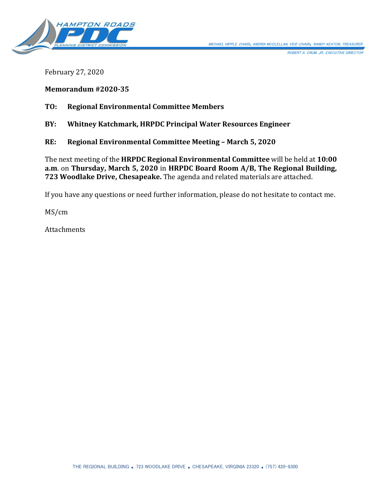

ROBERT A. CRUM, JR., EXECUTIVE DIRECTOR

February 27, 2020

**Memorandum #2020-35**

**TO: Regional Environmental Committee Members**

**BY: Whitney Katchmark, HRPDC Principal Water Resources Engineer**

**RE: Regional Environmental Committee Meeting – March 5, 2020**

The next meeting of the **HRPDC Regional Environmental Committee** will be held at **10:00 a.m**. on **Thursday, March 5, 2020** in **HRPDC Board Room A/B, The Regional Building, 723 Woodlake Drive, Chesapeake.** The agenda and related materials are attached.

If you have any questions or need further information, please do not hesitate to contact me.

MS/cm

**Attachments**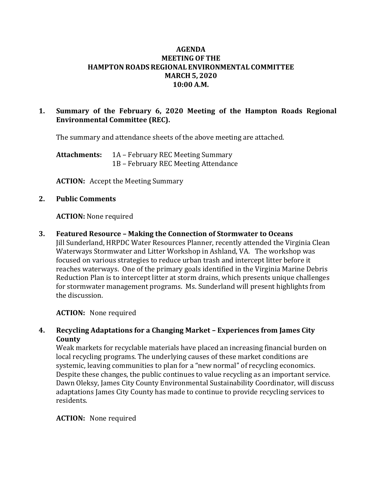## **AGENDA MEETING OF THE HAMPTON ROADS REGIONAL ENVIRONMENTAL COMMITTEE MARCH 5, 2020 10:00 A.M.**

## **1. Summary of the February 6, 2020 Meeting of the Hampton Roads Regional Environmental Committee (REC).**

The summary and attendance sheets of the above meeting are attached.

**Attachments:** 1A – February REC Meeting Summary 1B – February REC Meeting Attendance

**ACTION:** Accept the Meeting Summary

### **2. Public Comments**

### **ACTION:** None required

### **3. Featured Resource – Making the Connection of Stormwater to Oceans**

Jill Sunderland, HRPDC Water Resources Planner, recently attended the Virginia Clean Waterways Stormwater and Litter Workshop in Ashland, VA. The workshop was focused on various strategies to reduce urban trash and intercept litter before it reaches waterways. One of the primary goals identified in the Virginia Marine Debris Reduction Plan is to intercept litter at storm drains, which presents unique challenges for stormwater management programs. Ms. Sunderland will present highlights from the discussion.

**ACTION:** None required

## **4. Recycling Adaptations for a Changing Market – Experiences from James City County**

Weak markets for recyclable materials have placed an increasing financial burden on local recycling programs. The underlying causes of these market conditions are systemic, leaving communities to plan for a "new normal" of recycling economics. Despite these changes, the public continues to value recycling as an important service. Dawn Oleksy, James City County Environmental Sustainability Coordinator, will discuss adaptations James City County has made to continue to provide recycling services to residents.

### **ACTION:** None required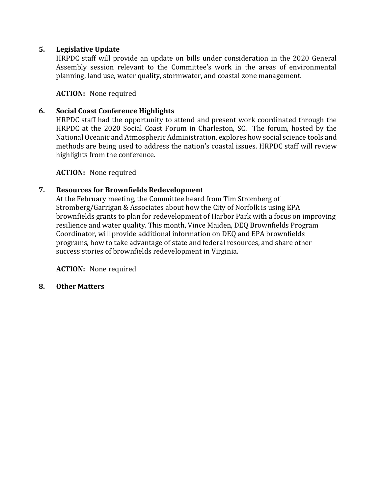# **5. Legislative Update**

HRPDC staff will provide an update on bills under consideration in the 2020 General Assembly session relevant to the Committee's work in the areas of environmental planning, land use, water quality, stormwater, and coastal zone management.

**ACTION:** None required

# **6. Social Coast Conference Highlights**

HRPDC staff had the opportunity to attend and present work coordinated through the HRPDC at the 2020 Social Coast Forum in Charleston, SC. The forum, hosted by the National Oceanic and Atmospheric Administration, explores how social science tools and methods are being used to address the nation's coastal issues. HRPDC staff will review highlights from the conference.

**ACTION:** None required

# **7. Resources for Brownfields Redevelopment**

At the February meeting, the Committee heard from Tim Stromberg of Stromberg/Garrigan & Associates about how the City of Norfolk is using EPA brownfields grants to plan for redevelopment of Harbor Park with a focus on improving resilience and water quality. This month, Vince Maiden, DEQ Brownfields Program Coordinator, will provide additional information on DEQ and EPA brownfields programs, how to take advantage of state and federal resources, and share other success stories of brownfields redevelopment in Virginia.

**ACTION:** None required

**8. Other Matters**